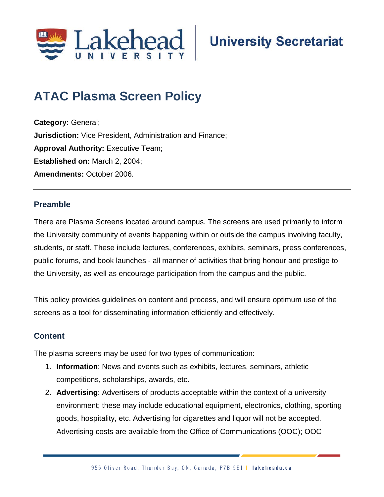

# **ATAC Plasma Screen Policy**

**Category:** General; **Jurisdiction:** Vice President, Administration and Finance; **Approval Authority: Executive Team; Established on:** March 2, 2004; **Amendments:** October 2006.

#### **Preamble**

There are Plasma Screens located around campus. The screens are used primarily to inform the University community of events happening within or outside the campus involving faculty, students, or staff. These include lectures, conferences, exhibits, seminars, press conferences, public forums, and book launches - all manner of activities that bring honour and prestige to the University, as well as encourage participation from the campus and the public.

This policy provides guidelines on content and process, and will ensure optimum use of the screens as a tool for disseminating information efficiently and effectively.

### **Content**

The plasma screens may be used for two types of communication:

- 1. **Information**: News and events such as exhibits, lectures, seminars, athletic competitions, scholarships, awards, etc.
- 2. **Advertising**: Advertisers of products acceptable within the context of a university environment; these may include educational equipment, electronics, clothing, sporting goods, hospitality, etc. Advertising for cigarettes and liquor will not be accepted. Advertising costs are available from the Office of Communications (OOC); OOC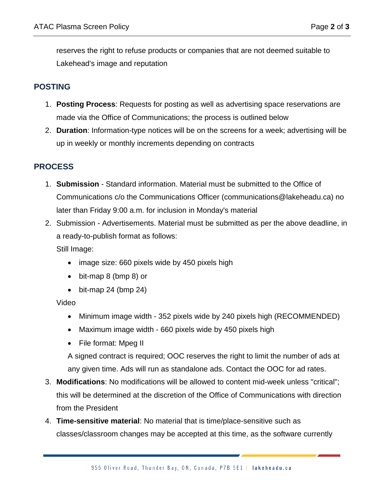reserves the right to refuse products or companies that are not deemed suitable to Lakehead's image and reputation

### **POSTING**

- 1. **Posting Process**: Requests for posting as well as advertising space reservations are made via the Office of Communications; the process is outlined below
- 2. **Duration**: Information-type notices will be on the screens for a week; advertising will be up in weekly or monthly increments depending on contracts

## **PROCESS**

- 1. **Submission** Standard information. Material must be submitted to the Office of Communications c/o the Communications Officer (communications@lakeheadu.ca) no later than Friday 9:00 a.m. for inclusion in Monday's material
- 2. Submission Advertisements. Material must be submitted as per the above deadline, in a ready-to-publish format as follows:

Still Image:

- image size: 660 pixels wide by 450 pixels high
- bit-map 8 (bmp 8) or
- bit-map 24 (bmp 24)

Video

- Minimum image width 352 pixels wide by 240 pixels high (RECOMMENDED)
- Maximum image width 660 pixels wide by 450 pixels high
- File format: Mpeg II

A signed contract is required; OOC reserves the right to limit the number of ads at any given time. Ads will run as standalone ads. Contact the OOC for ad rates.

- 3. **Modifications**: No modifications will be allowed to content mid-week unless "critical"; this will be determined at the discretion of the Office of Communications with direction from the President
- 4. **Time-sensitive material**: No material that is time/place-sensitive such as classes/classroom changes may be accepted at this time, as the software currently